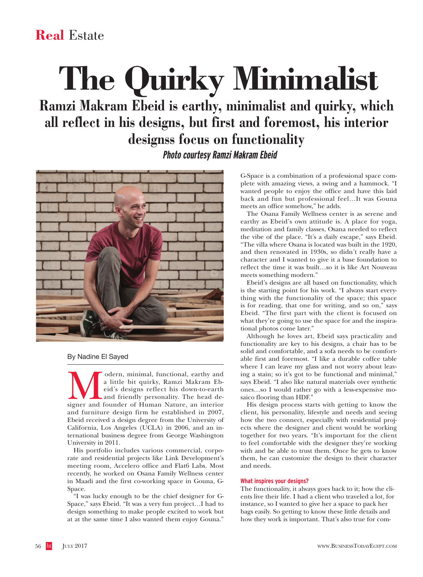# **Real** Estate

# **The Quirky Minimalist**

**Ramzi Makram Ebeid is earthy, minimalist and quirky, which all reflect in his designs, but first and foremost, his interior designss focus on functionality Photo courtesy Ramzi Makram Ebeid**



By Nadine El Sayed

Modern, minimal, functional, earthy and a little bit quirky, Ramzi Makram Ebeid's designs reflect his down-to-earth and friendly personality. The head designer and founder of Human Nature, an interior a little bit quirky, Ramzi Makram Ebeid's designs reflect his down-to-earth and friendly personality. The head deand furniture design firm he established in 2007, Ebeid received a design degree from the University of California, Los Angeles (UCLA) in 2006, and an international business degree from George Washington University in 2011.

His portfolio includes various commercial, corporate and residential projects like Link Development's meeting room, Accelero office and Flat6 Labs. Most recently, he worked on Osana Family Wellness center in Maadi and the first co-working space in Gouna, G-Space.

"I was lucky enough to be the chief designer for G-Space," says Ebeid. "It was a very fun project…I had to design something to make people excited to work but at at the same time I also wanted them enjoy Gouna."

G-Space is a combination of a professional space complete with amazing views, a swing and a hammock. "I wanted people to enjoy the office and have this laid back and fun but professional feel…It was Gouna meets an office somehow," he adds.

The Osana Family Wellness center is as serene and earthy as Ebeid's own attitude is. A place for yoga, meditation and family classes, Osana needed to reflect the vibe of the place. "It's a daily escape," says Ebeid. "The villa where Osana is located was built in the 1920, and then renovated in 1930s, so didn't really have a character and I wanted to give it a base foundation to reflect the time it was built…so it is like Art Nouveau meets something modern."

Ebeid's designs are all based on functionality, which is the starting point for his work. "I always start everything with the functionality of the space; this space is for reading, that one for writing, and so on," says Ebeid. "The first part with the client is focused on what they're going to use the space for and the inspirational photos come later."

Although he loves art, Ebeid says practicality and functionality are key to his designs, a chair has to be solid and comfortable, and a sofa needs to be comfortable first and foremost. "I like a durable coffee table where I can leave my glass and not worry about leaving a stain; so it's got to be functional and minimal," says Ebeid. "I also like natural materials over synthetic ones…so I would rather go with a less-expensive mosaico flooring than HDF."

His design process starts with getting to know the client, his personality, lifestyle and needs and seeing how the two connect, especially with residential projects where the designer and client would be working together for two years. "It's important for the client to feel comfortable with the designer they're working with and be able to trust them. Once he gets to know them, he can customize the design to their character and needs.

## **What inspires your designs?**

The functionality, it always goes back to it; how the clients live their life. I had a client who traveled a lot, for instance, so I wanted to give her a space to pack her bags easily. So getting to know these little details and how they work is important. That's also true for com-